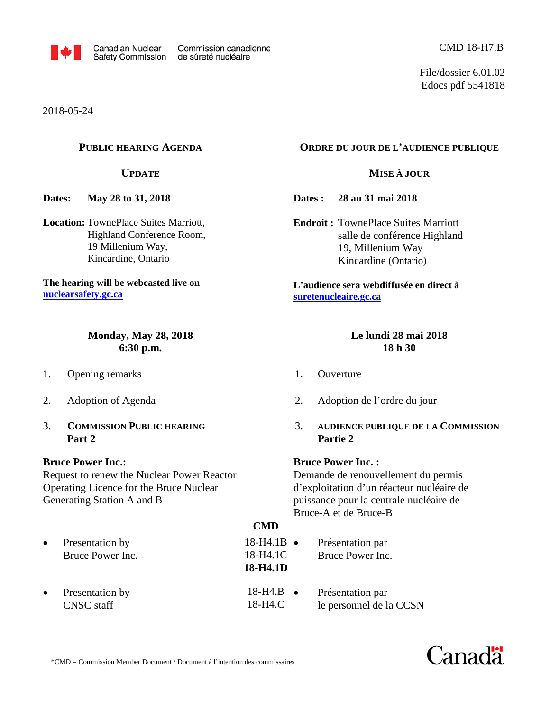

File/dossier 6.01.02 Edocs pdf 5541818

2018-05-24

## **PUBLIC HEARING AGENDA**

#### **UPDATE**

**Dates: May 28 to 31, 2018** 

**Location:** TownePlace Suites Marriott, Highland Conference Room, 19 Millenium Way, Kincardine, Ontario

**The hearing will be webcasted live on [nuclearsafety.gc.ca](http://www.nuclearsafety.gc.ca/)**

> **Monday, May 28, 2018 6:30 p.m.**

- 1. Opening remarks
- 2. Adoption of Agenda
- 3. **COMMISSION PUBLIC HEARING Part 2**

#### **Bruce Power Inc.:**

Request to renew the Nuclear Power Reactor Operating Licence for the Bruce Nuclear Generating Station A and B

- Presentation by 18-H4.1B  $\bullet$ Bruce Power Inc. 18-H4.1C
- Presentation by 18-H4.B CNSC staff 18-H4.C

## **ORDRE DU JOUR DE L'AUDIENCE PUBLIQUE**

#### **MISE À JOUR**

**Dates : 28 au 31 mai 2018**

**Endroit :** TownePlace Suites Marriott salle de conférence Highland 19, Millenium Way Kincardine (Ontario)

**L'audience sera webdiffusée en direct à [suretenucleaire.gc.ca](http://www.suretenucleaire.gc.ca/)**

## **Le lundi 28 mai 2018 18 h 30**

- 1. Ouverture
- 2. Adoption de l'ordre du jour
- 3. **AUDIENCE PUBLIQUE DE LA COMMISSION Partie 2**

#### **Bruce Power Inc. :**

Demande de renouvellement du permis d'exploitation d'un réacteur nucléaire de puissance pour la centrale nucléaire de Bruce-A et de Bruce-B

## **CMD**

- **18-H4.1D**  • Présentation par Bruce Power Inc.
- Présentation par le personnel de la CCSN

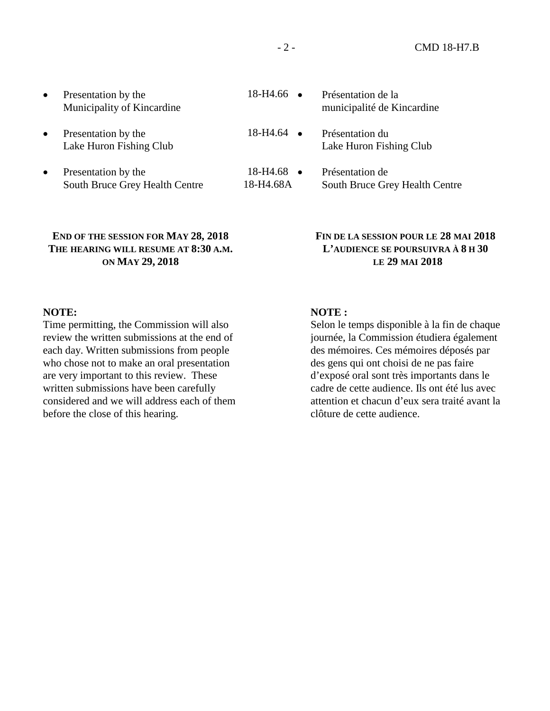- Presentation by the 18-H4.66 Municipality of Kincardine
- Presentation by the 18-H4.64 Lake Huron Fishing Club
- Presentation by the 18-H4.68 South Bruce Grey Health Centre 18-H4.68A

## **END OF THE SESSION FOR MAY 28, 2018 THE HEARING WILL RESUME AT 8:30 A.M. ON MAY 29, 2018**

- Présentation de la municipalité de Kincardine
- Présentation du Lake Huron Fishing Club
- Présentation de South Bruce Grey Health Centre

## **FIN DE LA SESSION POUR LE 28 MAI 2018 L'AUDIENCE SE POURSUIVRA À 8 H 30 LE 29 MAI 2018**

## **NOTE:**

Time permitting, the Commission will also review the written submissions at the end of each day. Written submissions from people who chose not to make an oral presentation are very important to this review. These written submissions have been carefully considered and we will address each of them before the close of this hearing.

## **NOTE :**

Selon le temps disponible à la fin de chaque journée, la Commission étudiera également des mémoires. Ces mémoires déposés par des gens qui ont choisi de ne pas faire d'exposé oral sont très importants dans le cadre de cette audience. Ils ont été lus avec attention et chacun d'eux sera traité avant la clôture de cette audience.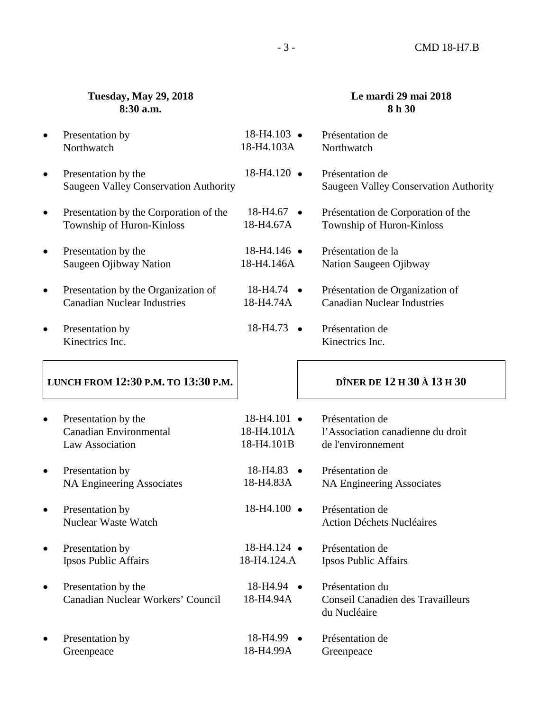# - 3 - CMD 18-H7.B

## **Tuesday, May 29, 2018 8:30 a.m.**

## **Le mardi 29 mai 2018 8 h 30**

|           | Presentation by                                                     | 18-H4.103 •                       | Présentation de                                                             |
|-----------|---------------------------------------------------------------------|-----------------------------------|-----------------------------------------------------------------------------|
|           | Northwatch                                                          | 18-H4.103A                        | Northwatch                                                                  |
| ٠         | Presentation by the<br><b>Saugeen Valley Conservation Authority</b> | 18-H4.120 •                       | Présentation de<br><b>Saugeen Valley Conservation Authority</b>             |
| ٠         | Presentation by the Corporation of the                              | $18-H4.67$ $\bullet$              | Présentation de Corporation of the                                          |
|           | Township of Huron-Kinloss                                           | 18-H4.67A                         | Township of Huron-Kinloss                                                   |
| $\bullet$ | Presentation by the                                                 | 18-H4.146 ·                       | Présentation de la                                                          |
|           | Saugeen Ojibway Nation                                              | 18-H4.146A                        | Nation Saugeen Ojibway                                                      |
| $\bullet$ | Presentation by the Organization of                                 | $18-H4.74$ $\bullet$              | Présentation de Organization of                                             |
|           | <b>Canadian Nuclear Industries</b>                                  | 18-H4.74A                         | <b>Canadian Nuclear Industries</b>                                          |
| ٠         | Presentation by                                                     | 18-H4.73                          | Présentation de                                                             |
|           | Kinectrics Inc.                                                     | $\bullet$                         | Kinectrics Inc.                                                             |
|           | LUNCH FROM 12:30 P.M. TO 13:30 P.M.                                 |                                   | DÎNER DE 12 H 30 À 13 H 30                                                  |
|           |                                                                     |                                   |                                                                             |
| $\bullet$ | Presentation by the                                                 | $18-H4.101$ $\bullet$             | Présentation de                                                             |
|           | <b>Canadian Environmental</b>                                       | 18-H4.101A                        | l'Association canadienne du droit                                           |
|           | Law Association                                                     | 18-H4.101B                        | de l'environnement                                                          |
| $\bullet$ | Presentation by                                                     | 18-H4.83                          | Présentation de                                                             |
|           | <b>NA Engineering Associates</b>                                    | 18-H4.83A                         | <b>NA Engineering Associates</b>                                            |
| ٠         | Presentation by<br>Nuclear Waste Watch                              | 18-H4.100 ·                       | Présentation de<br><b>Action Déchets Nucléaires</b>                         |
| $\bullet$ | Presentation by                                                     | 18-H4.124 •                       | Présentation de                                                             |
|           | <b>Ipsos Public Affairs</b>                                         | 18-H4.124.A                       | Ipsos Public Affairs                                                        |
| ٠         | Presentation by the<br>Canadian Nuclear Workers' Council            | $18-H4.94$ $\bullet$<br>18-H4.94A | Présentation du<br><b>Conseil Canadien des Travailleurs</b><br>du Nucléaire |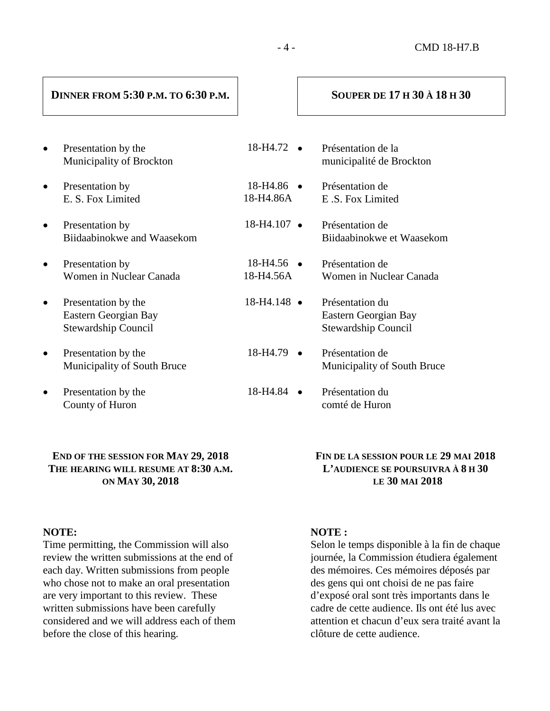# **DINNER FROM 5:30 P.M. TO 6:30 P.M.**

# **SOUPER DE 17 H 30 À 18 H 30**

| $\bullet$ | Presentation by the<br>Municipality of Brockton                           | 18-H4.72                            | Présentation de la<br>municipalité de Brockton                        |
|-----------|---------------------------------------------------------------------------|-------------------------------------|-----------------------------------------------------------------------|
| $\bullet$ | Presentation by<br>E. S. Fox Limited                                      | $18 - H4.86$ $\bullet$<br>18-H4.86A | Présentation de<br>E.S. Fox Limited                                   |
| $\bullet$ | Presentation by<br>Biidaabinokwe and Waasekom                             | 18-H4.107 •                         | Présentation de<br>Biidaabinokwe et Waasekom                          |
| $\bullet$ | Presentation by<br>Women in Nuclear Canada                                | $18-H4.56$ $\bullet$<br>18-H4.56A   | Présentation de<br>Women in Nuclear Canada                            |
| $\bullet$ | Presentation by the<br>Eastern Georgian Bay<br><b>Stewardship Council</b> | 18-H4.148 •                         | Présentation du<br>Eastern Georgian Bay<br><b>Stewardship Council</b> |
| $\bullet$ | Presentation by the<br>Municipality of South Bruce                        | 18-H4.79                            | Présentation de<br>Municipality of South Bruce                        |
| $\bullet$ | Presentation by the<br>County of Huron                                    | 18-H4.84                            | Présentation du<br>comté de Huron                                     |
|           |                                                                           |                                     |                                                                       |

## **END OF THE SESSION FOR MAY 29, 2018 THE HEARING WILL RESUME AT 8:30 A.M. ON MAY 30, 2018**

#### **NOTE:**

Time permitting, the Commission will also review the written submissions at the end of each day. Written submissions from people who chose not to make an oral presentation are very important to this review. These written submissions have been carefully considered and we will address each of them before the close of this hearing.

#### **NOTE :**

Selon le temps disponible à la fin de chaque journée, la Commission étudiera également des mémoires. Ces mémoires déposés par des gens qui ont choisi de ne pas faire d'exposé oral sont très importants dans le cadre de cette audience. Ils ont été lus avec attention et chacun d'eux sera traité avant la clôture de cette audience.

**FIN DE LA SESSION POUR LE 29 MAI 2018 L'AUDIENCE SE POURSUIVRA À 8 H 30 LE 30 MAI 2018**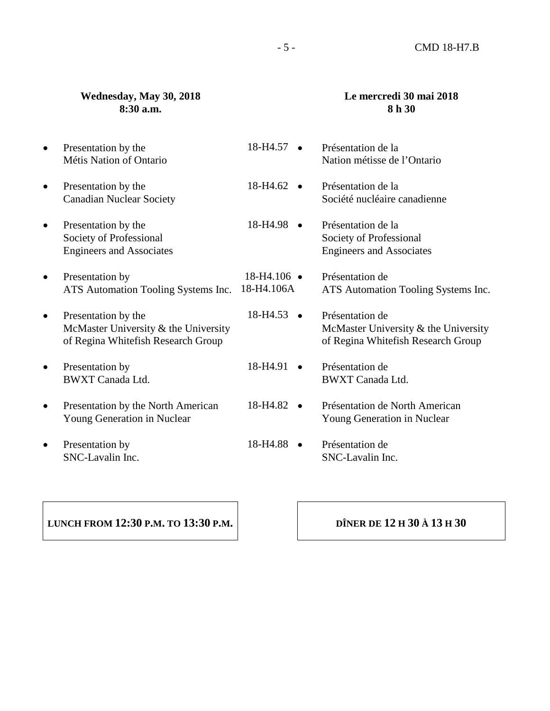#### - 5 - CMD 18-H7.B

#### **Wednesday, May 30, 2018 8:30 a.m.**

#### **Le mercredi 30 mai 2018 8 h 30**

Presentation by the 18-H4.57  $\bullet$ Métis Nation of Ontario • Presentation by the 18-H4.62 • Canadian Nuclear Society • Presentation by the 18-H4.98 • Society of Professional Engineers and Associates • Presentation by 18-H4.106 • ATS Automation Tooling Systems Inc. 18-H4.106A • Presentation by the 18-H4.53 • McMaster University & the University of Regina Whitefish Research Group • Presentation by 18-H4.91 • BWXT Canada Ltd. • Presentation by the North American 18-H4.82 • Young Generation in Nuclear • Presentation by 18-H4.88 • SNC-Lavalin Inc. • Présentation de la Nation métisse de l'Ontario • Présentation de la Société nucléaire canadienne • Présentation de la Society of Professional Engineers and Associates • Présentation de ATS Automation Tooling Systems Inc. • Présentation de McMaster University & the University of Regina Whitefish Research Group • Présentation de BWXT Canada Ltd. • Présentation de North American Young Generation in Nuclear • Présentation de SNC-Lavalin Inc.

## **LUNCH FROM 12:30 P.M. TO 13:30 P.M.**

## **DÎNER DE 12 H 30 À 13 H 30**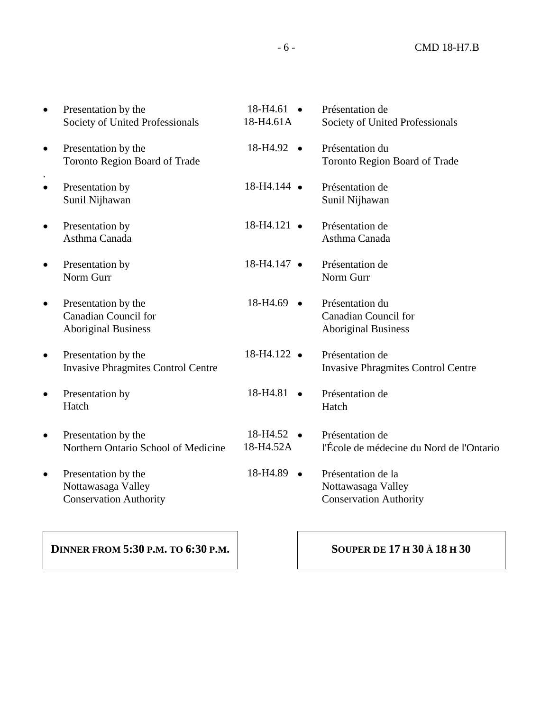| $\bullet$ | Presentation by the<br>Society of United Professionals                           | 18-H4.61<br>18-H4.61A | Présentation de<br>Society of United Professionals                           |
|-----------|----------------------------------------------------------------------------------|-----------------------|------------------------------------------------------------------------------|
| $\bullet$ | Presentation by the<br>Toronto Region Board of Trade                             | 18-H4.92 •            | Présentation du<br>Toronto Region Board of Trade                             |
| $\bullet$ | Presentation by<br>Sunil Nijhawan                                                | 18-H4.144 ·           | Présentation de<br>Sunil Nijhawan                                            |
| $\bullet$ | Presentation by<br>Asthma Canada                                                 | 18-H4.121 •           | Présentation de<br>Asthma Canada                                             |
| $\bullet$ | Presentation by<br>Norm Gurr                                                     | 18-H4.147 ·           | Présentation de<br>Norm Gurr                                                 |
| $\bullet$ | Presentation by the<br><b>Canadian Council for</b><br><b>Aboriginal Business</b> | $18-H4.69$ $\bullet$  | Présentation du<br><b>Canadian Council for</b><br><b>Aboriginal Business</b> |
| $\bullet$ | Presentation by the<br><b>Invasive Phragmites Control Centre</b>                 | 18-H4.122 ·           | Présentation de<br><b>Invasive Phragmites Control Centre</b>                 |
| $\bullet$ | Presentation by<br>Hatch                                                         | 18-H4.81<br>$\bullet$ | Présentation de<br>Hatch                                                     |
| $\bullet$ | Presentation by the<br>Northern Ontario School of Medicine                       | 18-H4.52<br>18-H4.52A | Présentation de<br>l'École de médecine du Nord de l'Ontario                  |
| $\bullet$ | Presentation by the<br>Nottawasaga Valley<br><b>Conservation Authority</b>       | 18-H4.89 •            | Présentation de la<br>Nottawasaga Valley<br><b>Conservation Authority</b>    |
|           |                                                                                  |                       |                                                                              |

**DINNER FROM 5:30 P.M. TO 6:30 P.M.** 

# **SOUPER DE 17 H 30 À 18 H 30**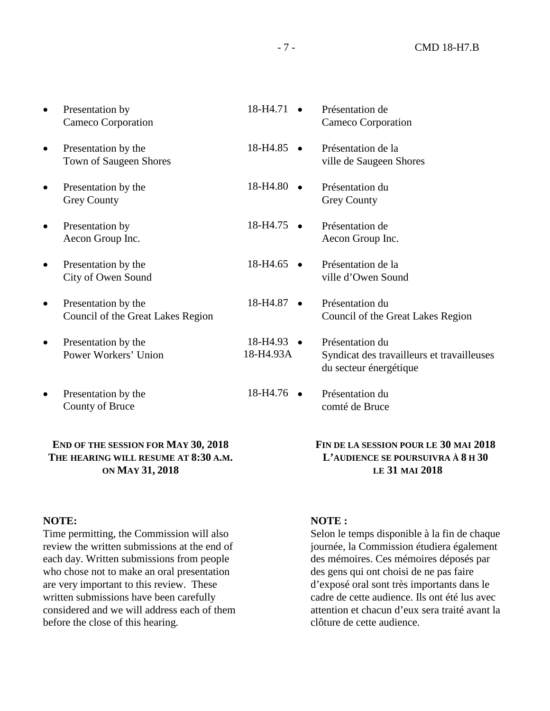| $\bullet$ | Presentation by<br>Cameco Corporation                    | 18-H4.71                          | Présentation de<br>Cameco Corporation                                                   |
|-----------|----------------------------------------------------------|-----------------------------------|-----------------------------------------------------------------------------------------|
| $\bullet$ | Presentation by the<br>Town of Saugeen Shores            | $18 - H4.85$ $\bullet$            | Présentation de la<br>ville de Saugeen Shores                                           |
| $\bullet$ | Presentation by the<br><b>Grey County</b>                | 18-H4.80<br>$\bullet$             | Présentation du<br><b>Grey County</b>                                                   |
| $\bullet$ | Presentation by<br>Aecon Group Inc.                      | 18-H4.75                          | Présentation de<br>Aecon Group Inc.                                                     |
| $\bullet$ | Presentation by the<br>City of Owen Sound                | $18-H4.65$ •                      | Présentation de la<br>ville d'Owen Sound                                                |
| $\bullet$ | Presentation by the<br>Council of the Great Lakes Region | 18-H4.87<br>$\bullet$             | Présentation du<br>Council of the Great Lakes Region                                    |
| $\bullet$ | Presentation by the<br>Power Workers' Union              | $18-H4.93$ $\bullet$<br>18-H4.93A | Présentation du<br>Syndicat des travailleurs et travailleuses<br>du secteur énergétique |
| $\bullet$ | Presentation by the<br>County of Bruce                   | 18-H4.76                          | Présentation du<br>comté de Bruce                                                       |
|           |                                                          |                                   |                                                                                         |

## **END OF THE SESSION FOR MAY 30, 2018 THE HEARING WILL RESUME AT 8:30 A.M. ON MAY 31, 2018**

## **NOTE:**

Time permitting, the Commission will also review the written submissions at the end of each day. Written submissions from people who chose not to make an oral presentation are very important to this review. These written submissions have been carefully considered and we will address each of them before the close of this hearing.

## **NOTE :**

Selon le temps disponible à la fin de chaque journée, la Commission étudiera également des mémoires. Ces mémoires déposés par des gens qui ont choisi de ne pas faire d'exposé oral sont très importants dans le cadre de cette audience. Ils ont été lus avec attention et chacun d'eux sera traité avant la clôture de cette audience.

**FIN DE LA SESSION POUR LE 30 MAI 2018 L'AUDIENCE SE POURSUIVRA À 8 H 30 LE 31 MAI 2018**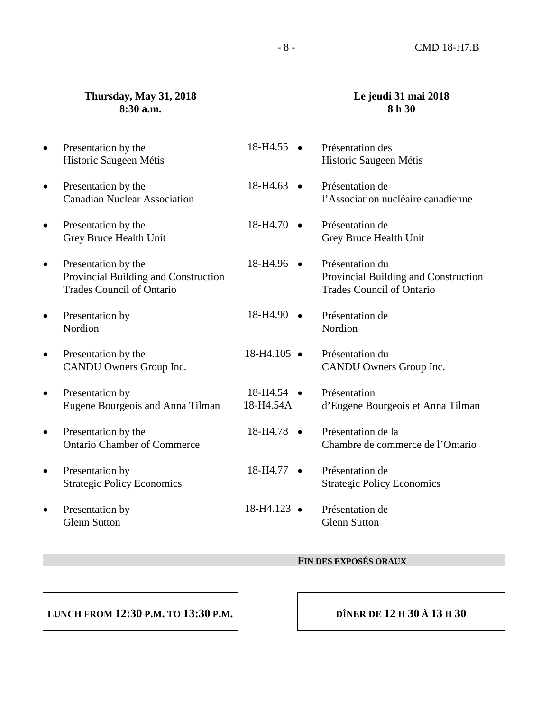#### - 8 - CMD 18-H7.B

#### **Thursday, May 31, 2018 8:30 a.m.**

- 
- Presentation by the 18-H4.55 Historic Saugeen Métis
- Presentation by the Canadian Nuclear Association
- Presentation by the Grey Bruce Health Unit
- Presentation by the Provincial Building and Constr Trades Council of Ontario
- Presentation by Nordion
- Presentation by the CANDU Owners Group Inc.
- Presentation by Eugene Bourgeois and Anna Ti
- Presentation by the Ontario Chamber of Commerce
- Presentation by Strategic Policy Economics
- Presentation by Glenn Sutton

#### **Le jeudi 31 mai 2018 8 h 30**

|         | $18 - H4.55$ $\bullet$  | Présentation des<br>Historic Saugeen Métis                                                  |
|---------|-------------------------|---------------------------------------------------------------------------------------------|
|         | 18-H4.63                | Présentation de<br>l'Association nucléaire canadienne                                       |
|         | 18-H4.70                | Présentation de<br>Grey Bruce Health Unit                                                   |
| ruction | 18-H4.96                | Présentation du<br>Provincial Building and Construction<br><b>Trades Council of Ontario</b> |
|         | 18-H4.90                | Présentation de<br>Nordion                                                                  |
|         | $18 - H4.105$ $\bullet$ | Présentation du<br>CANDU Owners Group Inc.                                                  |
| ilman   | 18-H4.54 ·<br>18-H4.54A | Présentation<br>d'Eugene Bourgeois et Anna Tilman                                           |
| e       | $18-H4.78$ $\bullet$    | Présentation de la<br>Chambre de commerce de l'Ontario                                      |
|         | 18-H4.77                | Présentation de<br><b>Strategic Policy Economics</b>                                        |
|         | $18 - H4.123$ $\bullet$ | Présentation de<br><b>Glenn Sutton</b>                                                      |

#### **FIN DES EXPOSÉS ORAUX**

# **LUNCH FROM 12:30 P.M. TO 13:30 P.M.**

## **DÎNER DE 12 H 30 À 13 H 30**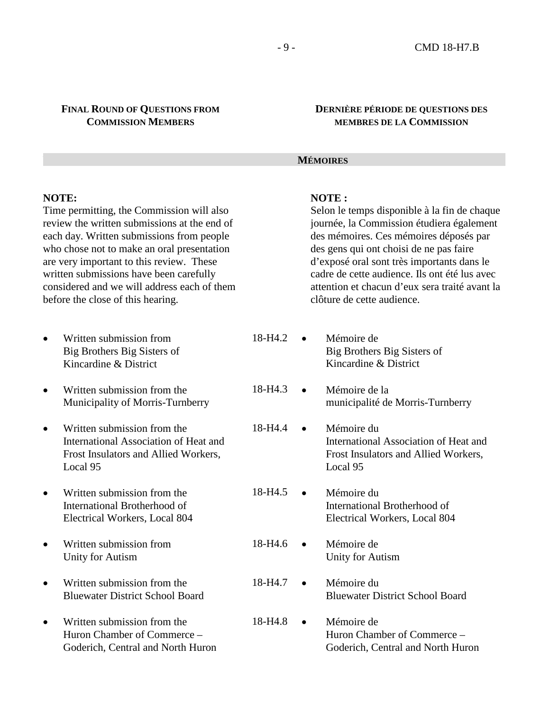#### **FINAL ROUND OF QUESTIONS FROM COMMISSION MEMBERS**

#### **NOTE:**

Time permitting, the Commission will also review the written submissions at the end of each day. Written submissions from people who chose not to make an oral presentation are very important to this review. These written submissions have been carefully considered and we will address each of them before the close of this hearing.

- Written submission from 18-H4.2 Big Brothers Big Sisters of Kincardine & District
- Written submission from the 18-H4.3 Municipality of Morris-Turnberry
- Written submission from the 18-H4.4 International Association of Heat and Frost Insulators and Allied Workers, Local 95
- Written submission from the 18-H4.5 International Brotherhood of Electrical Workers, Local 804
- Written submission from 18-H4.6 Unity for Autism
- Written submission from the 18-H4.7 Bluewater District School Board
- Written submission from the 18-H4.8 Huron Chamber of Commerce – Goderich, Central and North Huron

#### **DERNIÈRE PÉRIODE DE QUESTIONS DES MEMBRES DE LA COMMISSION**

#### **MÉMOIRES**

#### **NOTE :**

Selon le temps disponible à la fin de chaque journée, la Commission étudiera également des mémoires. Ces mémoires déposés par des gens qui ont choisi de ne pas faire d'exposé oral sont très importants dans le cadre de cette audience. Ils ont été lus avec attention et chacun d'eux sera traité avant la clôture de cette audience.

- Mémoire de Big Brothers Big Sisters of Kincardine & District
- Mémoire de la municipalité de Morris-Turnberry
- Mémoire du International Association of Heat and Frost Insulators and Allied Workers, Local 95
- Mémoire du International Brotherhood of Electrical Workers, Local 804
- Mémoire de Unity for Autism
- Mémoire du Bluewater District School Board
- Mémoire de Huron Chamber of Commerce – Goderich, Central and North Huron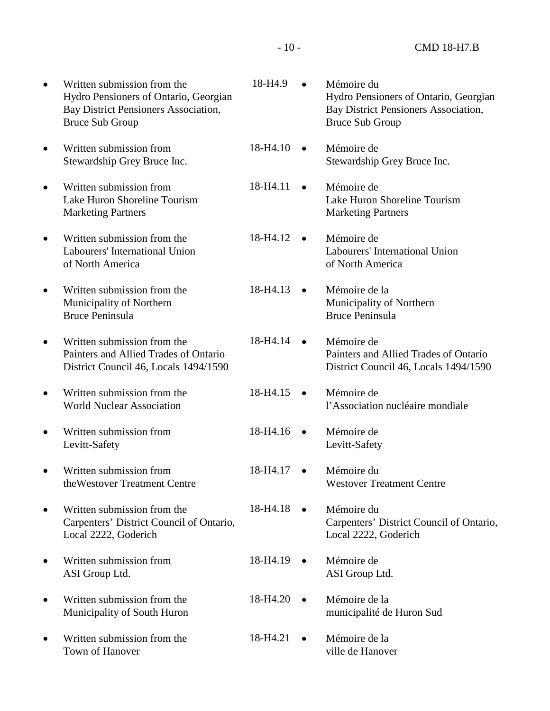• Written submission from the 18-H4.9 • Hydro Pensioners of Ontario, Georgian Bay District Pensioners Association, Bruce Sub Group • Written submission from 18-H4.10 • Stewardship Grey Bruce Inc. • Written submission from 18-H4.11 • Lake Huron Shoreline Tourism Marketing Partners • Written submission from the 18-H4.12 • Labourers' International Union of North America • Written submission from the 18-H4.13 • Municipality of Northern Bruce Peninsula • Written submission from the 18-H4.14 • Painters and Allied Trades of Ontario District Council 46, Locals 1494/1590 • Written submission from the 18-H4.15 • World Nuclear Association • Written submission from 18-H4.16 • Levitt-Safety • Written submission from 18-H4.17 • theWestover Treatment Centre • Written submission from the 18-H4.18 • Carpenters' District Council of Ontario, Local 2222, Goderich • Written submission from 18-H4.19 • ASI Group Ltd. • Written submission from the 18-H4.20 • Municipality of South Huron • Written submission from the 18-H4.21 Town of Hanover • Mémoire du Hydro Pensioners of Ontario, Georgian Bay District Pensioners Association, Bruce Sub Group Mémoire de Stewardship Grey Bruce Inc. Mémoire de Lake Huron Shoreline Tourism Marketing Partners Mémoire de Labourers' International Union of North America • Mémoire de la Municipality of Northern Bruce Peninsula Mémoire de Painters and Allied Trades of Ontario District Council 46, Locals 1494/1590 • Mémoire de l'Association nucléaire mondiale Mémoire de Levitt-Safety • Mémoire du Westover Treatment Centre Mémoire du Carpenters' District Council of Ontario, Local 2222, Goderich • Mémoire de ASI Group Ltd. Mémoire de la municipalité de Huron Sud • Mémoire de la ville de Hanover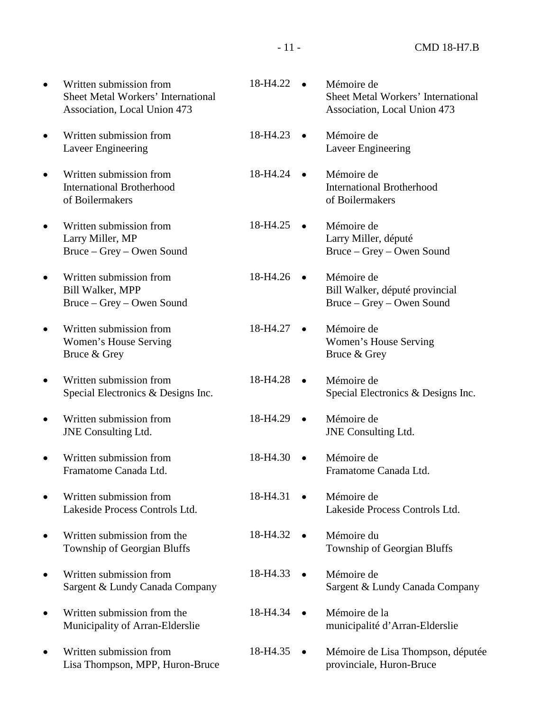- 11 - CMD 18-H7.B

• Written submission from 18-H4.22 • Sheet Metal Workers' International Association, Local Union 473 • Written submission from 18-H4.23 • Laveer Engineering • Written submission from 18-H4.24 • International Brotherhood of Boilermakers Written submission from 18-H4.25 • Larry Miller, MP Bruce – Grey – Owen Sound • Written submission from 18-H4.26 • Bill Walker, MPP Bruce – Grey – Owen Sound Written submission from 18-H4.27  $\bullet$ Women's House Serving Bruce & Grey • Written submission from 18-H4.28 • Special Electronics & Designs Inc. • Written submission from 18-H4.29 • JNE Consulting Ltd. • Written submission from 18-H4.30 • Framatome Canada Ltd. • Written submission from 18-H4.31 • Lakeside Process Controls Ltd. • Written submission from the 18-H4.32 • Township of Georgian Bluffs • Written submission from 18-H4.33 • Sargent & Lundy Canada Company • Written submission from the 18-H4.34 • Municipality of Arran-Elderslie Written submission from 18-H4.35 • Lisa Thompson, MPP, Huron-Bruce • Mémoire de Sheet Metal Workers' International Association, Local Union 473 • Mémoire de Laveer Engineering • Mémoire de International Brotherhood of Boilermakers Mémoire de Larry Miller, député Bruce – Grey – Owen Sound Mémoire de Bill Walker, député provincial Bruce – Grey – Owen Sound • Mémoire de Women's House Serving Bruce & Grey Mémoire de Special Electronics & Designs Inc. Mémoire de JNE Consulting Ltd. • Mémoire de Framatome Canada Ltd. • Mémoire de Lakeside Process Controls Ltd. Mémoire du Township of Georgian Bluffs Mémoire de Sargent & Lundy Canada Company Mémoire de la municipalité d'Arran-Elderslie • Mémoire de Lisa Thompson, députée provinciale, Huron-Bruce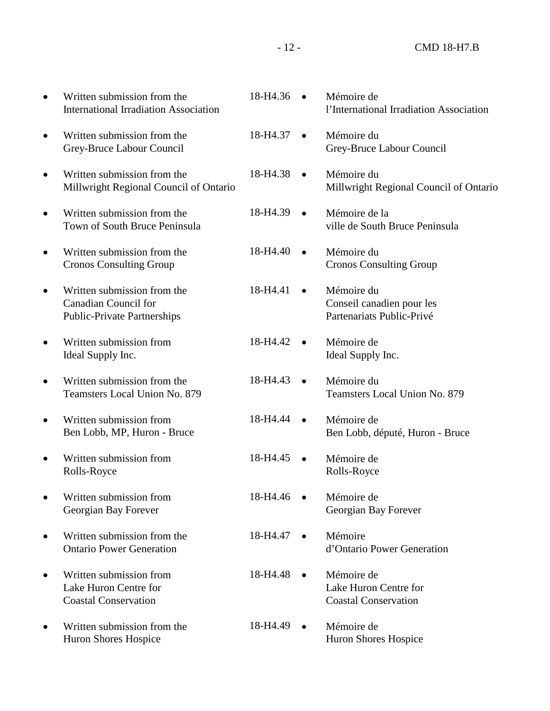# - 12 - CMD 18-H7.B

|           | Written submission from the<br><b>International Irradiation Association</b>                      | 18-H4.36 |           | Mémoire de<br>l'International Irradiation Association                |
|-----------|--------------------------------------------------------------------------------------------------|----------|-----------|----------------------------------------------------------------------|
| ٠         | Written submission from the<br>Grey-Bruce Labour Council                                         | 18-H4.37 | $\bullet$ | Mémoire du<br>Grey-Bruce Labour Council                              |
| $\bullet$ | Written submission from the<br>Millwright Regional Council of Ontario                            | 18-H4.38 | $\bullet$ | Mémoire du<br>Millwright Regional Council of Ontario                 |
|           | Written submission from the<br>Town of South Bruce Peninsula                                     | 18-H4.39 | $\bullet$ | Mémoire de la<br>ville de South Bruce Peninsula                      |
|           | Written submission from the<br><b>Cronos Consulting Group</b>                                    | 18-H4.40 |           | Mémoire du<br><b>Cronos Consulting Group</b>                         |
|           | Written submission from the<br><b>Canadian Council for</b><br><b>Public-Private Partnerships</b> | 18-H4.41 |           | Mémoire du<br>Conseil canadien pour les<br>Partenariats Public-Privé |
|           | Written submission from<br>Ideal Supply Inc.                                                     | 18-H4.42 | $\bullet$ | Mémoire de<br>Ideal Supply Inc.                                      |
|           | Written submission from the<br>Teamsters Local Union No. 879                                     | 18-H4.43 | $\bullet$ | Mémoire du<br>Teamsters Local Union No. 879                          |
|           | Written submission from<br>Ben Lobb, MP, Huron - Bruce                                           | 18-H4.44 |           | Mémoire de<br>Ben Lobb, député, Huron - Bruce                        |
|           | Written submission from<br>Rolls-Royce                                                           | 18-H4.45 | $\bullet$ | Mémoire de<br>Rolls-Royce                                            |
|           | Written submission from<br>Georgian Bay Forever                                                  | 18-H4.46 | $\bullet$ | Mémoire de<br>Georgian Bay Forever                                   |
|           | Written submission from the<br><b>Ontario Power Generation</b>                                   | 18-H4.47 |           | Mémoire<br>d'Ontario Power Generation                                |
|           | Written submission from<br>Lake Huron Centre for<br><b>Coastal Conservation</b>                  | 18-H4.48 | $\bullet$ | Mémoire de<br>Lake Huron Centre for<br><b>Coastal Conservation</b>   |
|           | Written submission from the<br>Huron Shores Hospice                                              | 18-H4.49 | $\bullet$ | Mémoire de<br>Huron Shores Hospice                                   |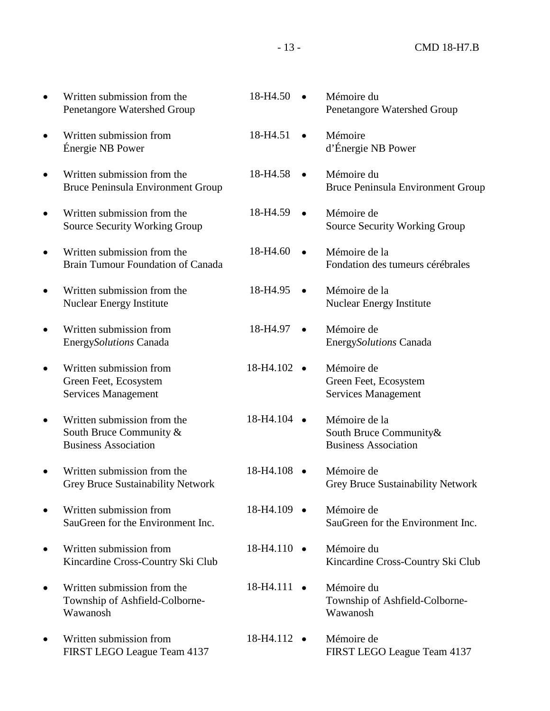| $\bullet$ | Written submission from the<br>Penetangore Watershed Group                            | 18-H4.50              | $\bullet$ | Mémoire du<br>Penetangore Watershed Group                              |
|-----------|---------------------------------------------------------------------------------------|-----------------------|-----------|------------------------------------------------------------------------|
| $\bullet$ | Written submission from<br>Énergie NB Power                                           | 18-H4.51              |           | Mémoire<br>d'Énergie NB Power                                          |
| $\bullet$ | Written submission from the<br>Bruce Peninsula Environment Group                      | 18-H4.58              |           | Mémoire du<br>Bruce Peninsula Environment Group                        |
| $\bullet$ | Written submission from the<br><b>Source Security Working Group</b>                   | 18-H4.59              | $\bullet$ | Mémoire de<br><b>Source Security Working Group</b>                     |
| $\bullet$ | Written submission from the<br>Brain Tumour Foundation of Canada                      | 18-H4.60              | $\bullet$ | Mémoire de la<br>Fondation des tumeurs cérébrales                      |
| $\bullet$ | Written submission from the<br><b>Nuclear Energy Institute</b>                        | 18-H4.95              |           | Mémoire de la<br><b>Nuclear Energy Institute</b>                       |
| $\bullet$ | Written submission from<br>EnergySolutions Canada                                     | 18-H4.97              | $\bullet$ | Mémoire de<br>EnergySolutions Canada                                   |
| $\bullet$ | Written submission from<br>Green Feet, Ecosystem<br><b>Services Management</b>        | 18-H4.102             | $\bullet$ | Mémoire de<br>Green Feet, Ecosystem<br>Services Management             |
| $\bullet$ | Written submission from the<br>South Bruce Community &<br><b>Business Association</b> | 18-H4.104 ·           |           | Mémoire de la<br>South Bruce Community&<br><b>Business Association</b> |
| $\bullet$ | Written submission from the<br>Grey Bruce Sustainability Network                      | 18-H4.108 ·           |           | Mémoire de<br><b>Grey Bruce Sustainability Network</b>                 |
| $\bullet$ | Written submission from<br>SauGreen for the Environment Inc.                          | $18-H4.109$ $\bullet$ |           | Mémoire de<br>SauGreen for the Environment Inc.                        |
| $\bullet$ | Written submission from<br>Kincardine Cross-Country Ski Club                          | $18-H4.110$ $\bullet$ |           | Mémoire du<br>Kincardine Cross-Country Ski Club                        |
| ٠         | Written submission from the<br>Township of Ashfield-Colborne-<br>Wawanosh             | 18-H4.111 •           |           | Mémoire du<br>Township of Ashfield-Colborne-<br>Wawanosh               |
| $\bullet$ | Written submission from<br>FIRST LEGO League Team 4137                                | $18-H4.112$ $\bullet$ |           | Mémoire de<br>FIRST LEGO League Team 4137                              |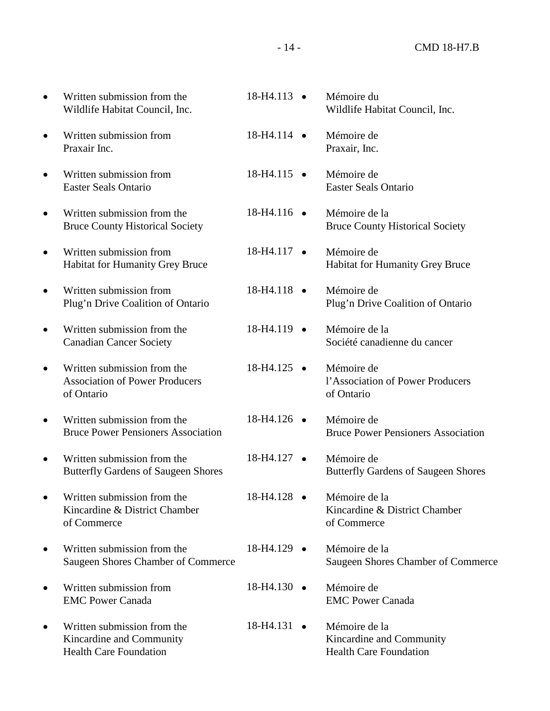- 14 - CMD 18-H7.B

| $\bullet$ | Written submission from the<br>Wildlife Habitat Council, Inc.                            | 18-H4.113 •           | Mémoire du<br>Wildlife Habitat Council, Inc.                               |
|-----------|------------------------------------------------------------------------------------------|-----------------------|----------------------------------------------------------------------------|
| $\bullet$ | Written submission from<br>Praxair Inc.                                                  | $18-H4.114$ $\bullet$ | Mémoire de<br>Praxair, Inc.                                                |
| $\bullet$ | Written submission from<br><b>Easter Seals Ontario</b>                                   | 18-H4.115 ·           | Mémoire de<br><b>Easter Seals Ontario</b>                                  |
| $\bullet$ | Written submission from the<br><b>Bruce County Historical Society</b>                    | $18-H4.116$ $\bullet$ | Mémoire de la<br><b>Bruce County Historical Society</b>                    |
| $\bullet$ | Written submission from<br>Habitat for Humanity Grey Bruce                               | 18-H4.117 ·           | Mémoire de<br>Habitat for Humanity Grey Bruce                              |
| $\bullet$ | Written submission from<br>Plug'n Drive Coalition of Ontario                             | 18-H4.118 •           | Mémoire de<br>Plug'n Drive Coalition of Ontario                            |
| $\bullet$ | Written submission from the<br><b>Canadian Cancer Society</b>                            | 18-H4.119 ·           | Mémoire de la<br>Société canadienne du cancer                              |
| $\bullet$ | Written submission from the<br><b>Association of Power Producers</b><br>of Ontario       | 18-H4.125 ·           | Mémoire de<br>l'Association of Power Producers<br>of Ontario               |
| $\bullet$ | Written submission from the<br><b>Bruce Power Pensioners Association</b>                 | 18-H4.126 ·           | Mémoire de<br><b>Bruce Power Pensioners Association</b>                    |
| $\bullet$ | Written submission from the<br><b>Butterfly Gardens of Saugeen Shores</b>                | 18-H4.127 ·           | Mémoire de<br><b>Butterfly Gardens of Saugeen Shores</b>                   |
| $\bullet$ | Written submission from the<br>Kincardine & District Chamber<br>of Commerce              | 18-H4.128 ·           | Mémoire de la<br>Kincardine & District Chamber<br>of Commerce              |
| $\bullet$ | Written submission from the<br>Saugeen Shores Chamber of Commerce                        | 18-H4.129 ·           | Mémoire de la<br>Saugeen Shores Chamber of Commerce                        |
| $\bullet$ | Written submission from<br><b>EMC Power Canada</b>                                       | $18-H4.130$ $\bullet$ | Mémoire de<br><b>EMC Power Canada</b>                                      |
| $\bullet$ | Written submission from the<br>Kincardine and Community<br><b>Health Care Foundation</b> | 18-H4.131 •           | Mémoire de la<br>Kincardine and Community<br><b>Health Care Foundation</b> |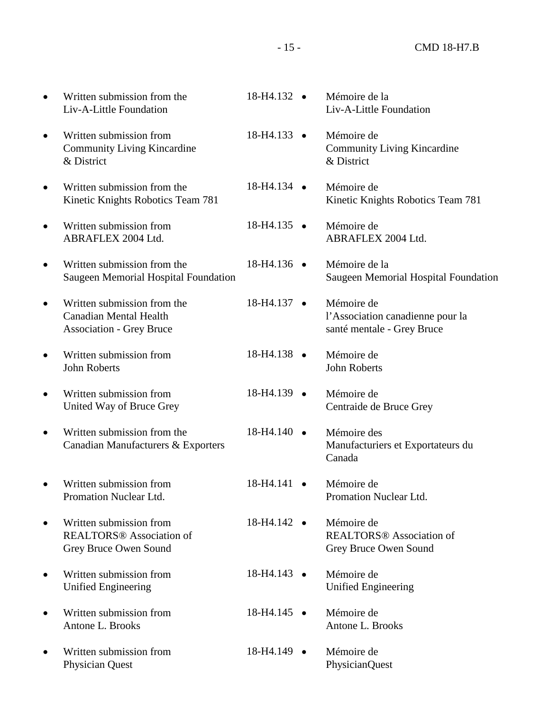|           | Written submission from the<br>Liv-A-Little Foundation                                          | 18-H4.132 ·           | Mémoire de la<br>Liv-A-Little Foundation                                     |
|-----------|-------------------------------------------------------------------------------------------------|-----------------------|------------------------------------------------------------------------------|
| ٠         | Written submission from<br><b>Community Living Kincardine</b><br>& District                     | 18-H4.133 •           | Mémoire de<br><b>Community Living Kincardine</b><br>& District               |
| ٠         | Written submission from the<br>Kinetic Knights Robotics Team 781                                | 18-H4.134 ·           | Mémoire de<br>Kinetic Knights Robotics Team 781                              |
| $\bullet$ | Written submission from<br>ABRAFLEX 2004 Ltd.                                                   | $18-H4.135$ $\bullet$ | Mémoire de<br>ABRAFLEX 2004 Ltd.                                             |
|           | Written submission from the<br><b>Saugeen Memorial Hospital Foundation</b>                      | $18-H4.136$ $\bullet$ | Mémoire de la<br>Saugeen Memorial Hospital Foundation                        |
|           | Written submission from the<br><b>Canadian Mental Health</b><br><b>Association - Grey Bruce</b> | 18-H4.137 •           | Mémoire de<br>l'Association canadienne pour la<br>santé mentale - Grey Bruce |
|           | Written submission from<br>John Roberts                                                         | 18-H4.138 •           | Mémoire de<br>John Roberts                                                   |
|           | Written submission from<br>United Way of Bruce Grey                                             | 18-H4.139 ·           | Mémoire de<br>Centraide de Bruce Grey                                        |
| $\bullet$ | Written submission from the<br>Canadian Manufacturers & Exporters                               | 18-H4.140 •           | Mémoire des<br>Manufacturiers et Exportateurs du<br>Canada                   |
|           | Written submission from<br>Promation Nuclear Ltd.                                               | 18-H4.141             | Mémoire de<br>Promation Nuclear Ltd.                                         |
|           | Written submission from<br><b>REALTORS®</b> Association of<br>Grey Bruce Owen Sound             | $18-H4.142 \bullet$   | Mémoire de<br><b>REALTORS®</b> Association of<br>Grey Bruce Owen Sound       |
|           | Written submission from<br>Unified Engineering                                                  | 18-H4.143 •           | Mémoire de<br><b>Unified Engineering</b>                                     |
|           | Written submission from<br>Antone L. Brooks                                                     | 18-H4.145 ·           | Mémoire de<br>Antone L. Brooks                                               |
|           | Written submission from<br><b>Physician Quest</b>                                               | 18-H4.149 •           | Mémoire de<br><b>PhysicianQuest</b>                                          |